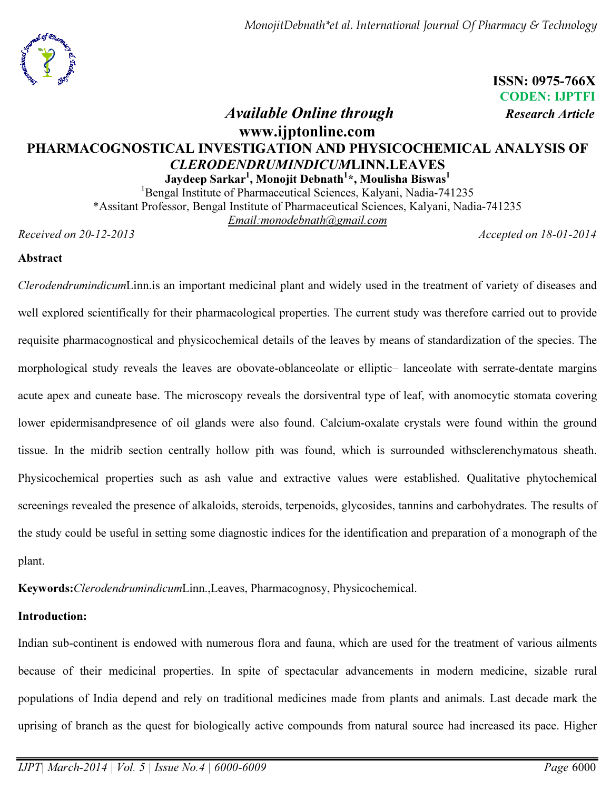ISSN: 0975-766X CODEN: IJPTFI

# Available Online through Research Article

# www.ijptonline.com PHARMACOGNOSTICAL INVESTIGATION AND PHYSICOCHEMICAL ANALYSIS OF CLERODENDRUMINDICUMLINN.LEAVES

Jaydeep Sarkar $^{\rm l}$ , Monojit Debnath $^{\rm l}$ \*, Moulisha Biswas $^{\rm l}$ 

<sup>1</sup>Bengal Institute of Pharmaceutical Sciences, Kalyani, Nadia-741235 \*Assitant Professor, Bengal Institute of Pharmaceutical Sciences, Kalyani, Nadia-741235 *Email:monodebnath@gmail.com*

*Received on 20-12-2013 Accepted on 18-01-2014*

# Abstract

*Clerodendrumindicum*Linn.is an important medicinal plant and widely used in the treatment of variety of diseases and well explored scientifically for their pharmacological properties. The current study was therefore carried out to provide requisite pharmacognostical and physicochemical details of the leaves by means of standardization of the species. The morphological study reveals the leaves are obovate-oblanceolate or elliptic– lanceolate with serrate-dentate margins acute apex and cuneate base. The microscopy reveals the dorsiventral type of leaf, with anomocytic stomata covering lower epidermisandpresence of oil glands were also found. Calcium-oxalate crystals were found within the ground tissue. In the midrib section centrally hollow pith was found, which is surrounded withsclerenchymatous sheath. Physicochemical properties such as ash value and extractive values were established. Qualitative phytochemical screenings revealed the presence of alkaloids, steroids, terpenoids, glycosides, tannins and carbohydrates. The results of the study could be useful in setting some diagnostic indices for the identification and preparation of a monograph of the plant.

Keywords:*Clerodendrumindicum*Linn.,Leaves, Pharmacognosy, Physicochemical.

# Introduction:

Indian sub-continent is endowed with numerous flora and fauna, which are used for the treatment of various ailments because of their medicinal properties. In spite of spectacular advancements in modern medicine, sizable rural populations of India depend and rely on traditional medicines made from plants and animals. Last decade mark the uprising of branch as the quest for biologically active compounds from natural source had increased its pace. Higher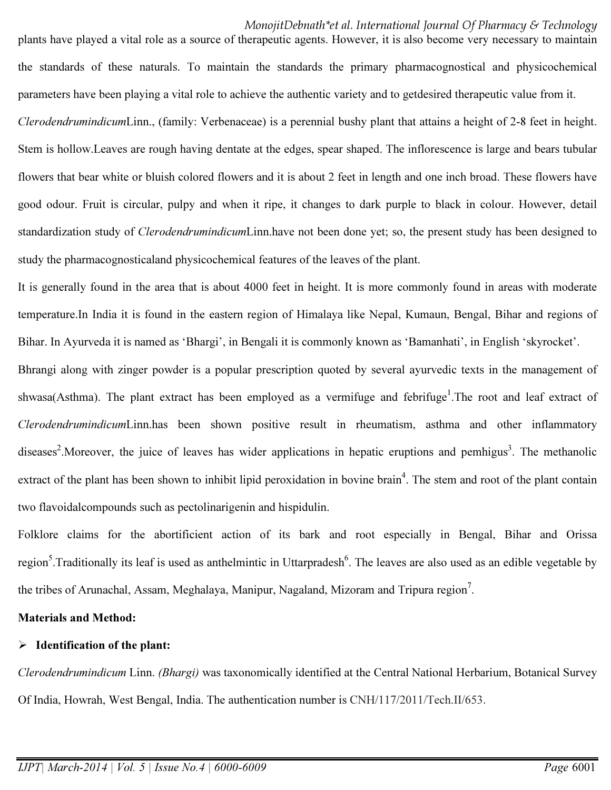the standards of these naturals. To maintain the standards the primary pharmacognostical and physicochemical parameters have been playing a vital role to achieve the authentic variety and to getdesired therapeutic value from it.

plants have played a vital role as a source of therapeutic agents. However, it is also become very necessary to maintain

*Clerodendrumindicum*Linn., (family: Verbenaceae) is a perennial bushy plant that attains a height of 2-8 feet in height. Stem is hollow.Leaves are rough having dentate at the edges, spear shaped. The inflorescence is large and bears tubular flowers that bear white or bluish colored flowers and it is about 2 feet in length and one inch broad. These flowers have good odour. Fruit is circular, pulpy and when it ripe, it changes to dark purple to black in colour. However, detail standardization study of *Clerodendrumindicum*Linn.have not been done yet; so, the present study has been designed to study the pharmacognosticaland physicochemical features of the leaves of the plant.

It is generally found in the area that is about 4000 feet in height. It is more commonly found in areas with moderate temperature.In India it is found in the eastern region of Himalaya like Nepal, Kumaun, Bengal, Bihar and regions of Bihar. In Ayurveda it is named as 'Bhargi', in Bengali it is commonly known as 'Bamanhati', in English 'skyrocket'.

Bhrangi along with zinger powder is a popular prescription quoted by several ayurvedic texts in the management of shwasa(Asthma). The plant extract has been employed as a vermifuge and febrifuge<sup>1</sup>. The root and leaf extract of *Clerodendrumindicum*Linn.has been shown positive result in rheumatism, asthma and other inflammatory diseases<sup>2</sup>. Moreover, the juice of leaves has wider applications in hepatic eruptions and pemhigus<sup>3</sup>. The methanolic extract of the plant has been shown to inhibit lipid peroxidation in bovine brain<sup>4</sup>. The stem and root of the plant contain two flavoidalcompounds such as pectolinarigenin and hispidulin.

Folklore claims for the abortificient action of its bark and root especially in Bengal, Bihar and Orissa region<sup>5</sup>. Traditionally its leaf is used as anthelmintic in Uttarpradesh<sup>6</sup>. The leaves are also used as an edible vegetable by the tribes of Arunachal, Assam, Meghalaya, Manipur, Nagaland, Mizoram and Tripura region<sup>7</sup>.

#### Materials and Method:

## $\triangleright$  Identification of the plant:

*Clerodendrumindicum* Linn. *(Bhargi)* was taxonomically identified at the Central National Herbarium, Botanical Survey Of India, Howrah, West Bengal, India. The authentication number is CNH/117/2011/Tech.II/653.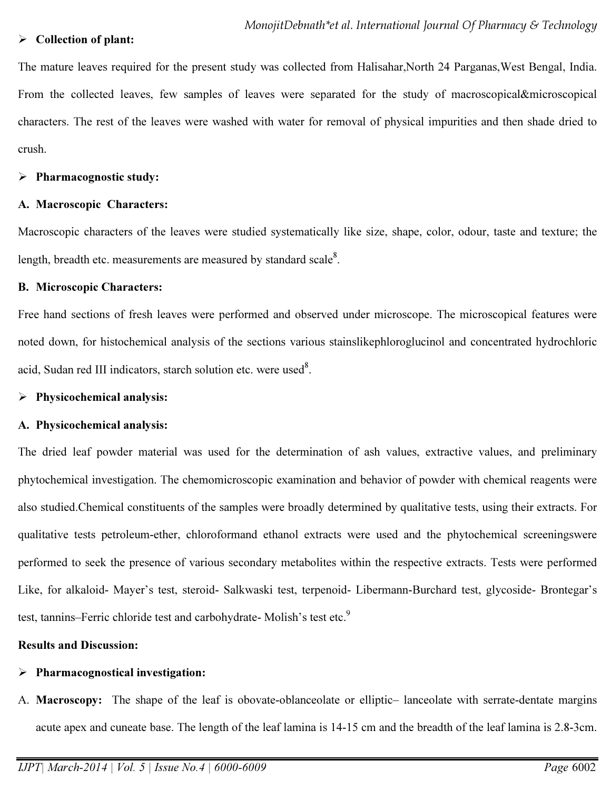## $\triangleright$  Collection of plant:

The mature leaves required for the present study was collected from Halisahar, North 24 Parganas, West Bengal, India. From the collected leaves, few samples of leaves were separated for the study of macroscopical&microscopical characters. The rest of the leaves were washed with water for removal of physical impurities and then shade dried to crush.

#### $\triangleright$  Pharmacognostic study:

#### A. Macroscopic Characters:

Macroscopic characters of the leaves were studied systematically like size, shape, color, odour, taste and texture; the length, breadth etc. measurements are measured by standard scale $8$ .

## B. Microscopic Characters:

Free hand sections of fresh leaves were performed and observed under microscope. The microscopical features were noted down, for histochemical analysis of the sections various stainslikephloroglucinol and concentrated hydrochloric acid, Sudan red III indicators, starch solution etc. were used<sup>8</sup>.

## $\triangleright$  Physicochemical analysis:

## A. Physicochemical analysis:

The dried leaf powder material was used for the determination of ash values, extractive values, and preliminary phytochemical investigation. The chemomicroscopic examination and behavior of powder with chemical reagents were also studied.Chemical constituents of the samples were broadly determined by qualitative tests, using their extracts. For qualitative tests petroleum-ether, chloroformand ethanol extracts were used and the phytochemical screeningswere performed to seek the presence of various secondary metabolites within the respective extracts. Tests were performed Like, for alkaloid- Mayer's test, steroid- Salkwaski test, terpenoid- Libermann-Burchard test, glycoside- Brontegar's test, tannins–Ferric chloride test and carbohydrate- Molish's test etc.<sup>9</sup>

## Results and Discussion:

# $\triangleright$  Pharmacognostical investigation:

A. Macroscopy: The shape of the leaf is obovate-oblanceolate or elliptic– lanceolate with serrate-dentate margins acute apex and cuneate base. The length of the leaf lamina is 14-15 cm and the breadth of the leaf lamina is 2.8-3cm.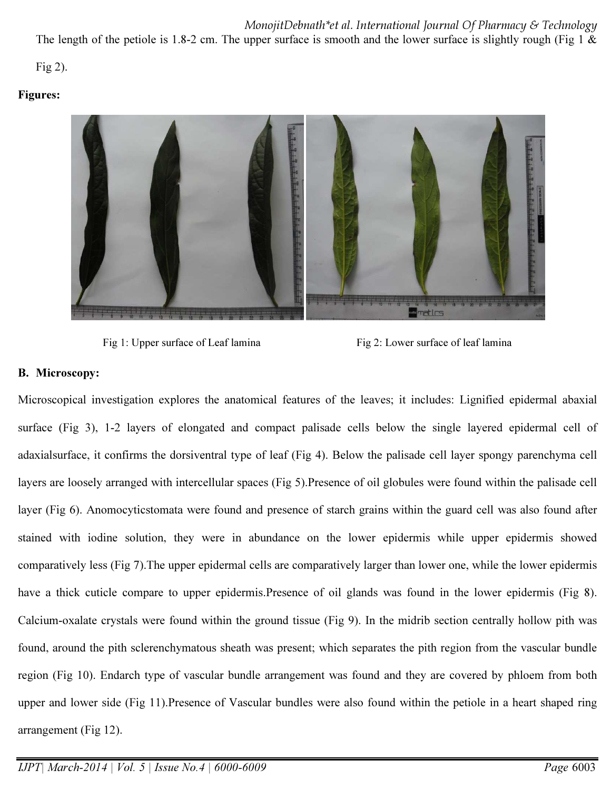The length of the petiole is 1.8-2 cm. The upper surface is smooth and the lower surface is slightly rough (Fig 1  $\&$ 

Fig 2).

# Figures:



Fig 1: Upper surface of Leaf lamina Fig 2: Lower surface of leaf lamina

# B. Microscopy:

Microscopical investigation explores the anatomical features of the leaves; it includes: Lignified epidermal abaxial surface (Fig 3), 1-2 layers of elongated and compact palisade cells below the single layered epidermal cell of adaxialsurface, it confirms the dorsiventral type of leaf (Fig 4). Below the palisade cell layer spongy parenchyma cell layers are loosely arranged with intercellular spaces (Fig 5).Presence of oil globules were found within the palisade cell layer (Fig 6). Anomocyticstomata were found and presence of starch grains within the guard cell was also found after stained with iodine solution, they were in abundance on the lower epidermis while upper epidermis showed comparatively less (Fig 7).The upper epidermal cells are comparatively larger than lower one, while the lower epidermis have a thick cuticle compare to upper epidermis.Presence of oil glands was found in the lower epidermis (Fig 8). Calcium-oxalate crystals were found within the ground tissue (Fig 9). In the midrib section centrally hollow pith was found, around the pith sclerenchymatous sheath was present; which separates the pith region from the vascular bundle region (Fig 10). Endarch type of vascular bundle arrangement was found and they are covered by phloem from both upper and lower side (Fig 11).Presence of Vascular bundles were also found within the petiole in a heart shaped ring arrangement (Fig 12).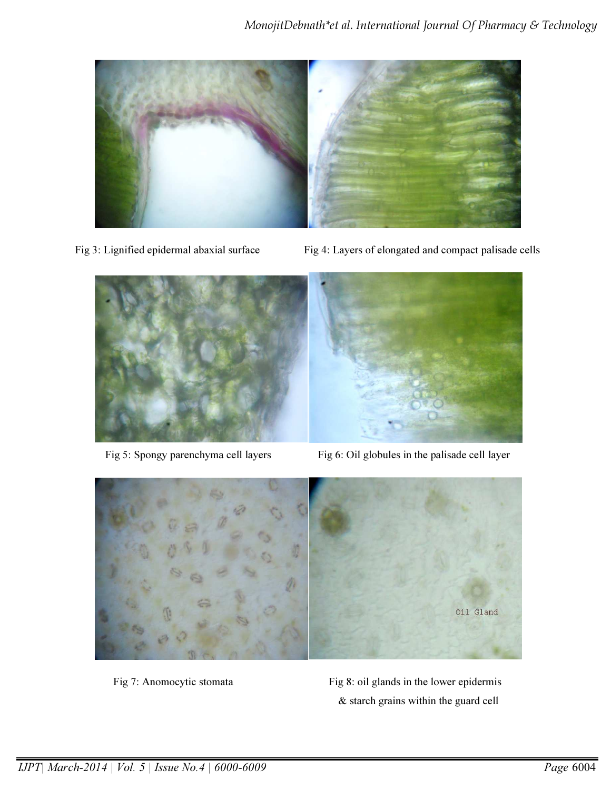

- 
- Fig 3: Lignified epidermal abaxial surface Fig 4: Layers of elongated and compact palisade cells



Fig 5: Spongy parenchyma cell layers Fig 6: Oil globules in the palisade cell layer



Fig 7: Anomocytic stomata Fig 8: oil glands in the lower epidermis & starch grains within the guard cell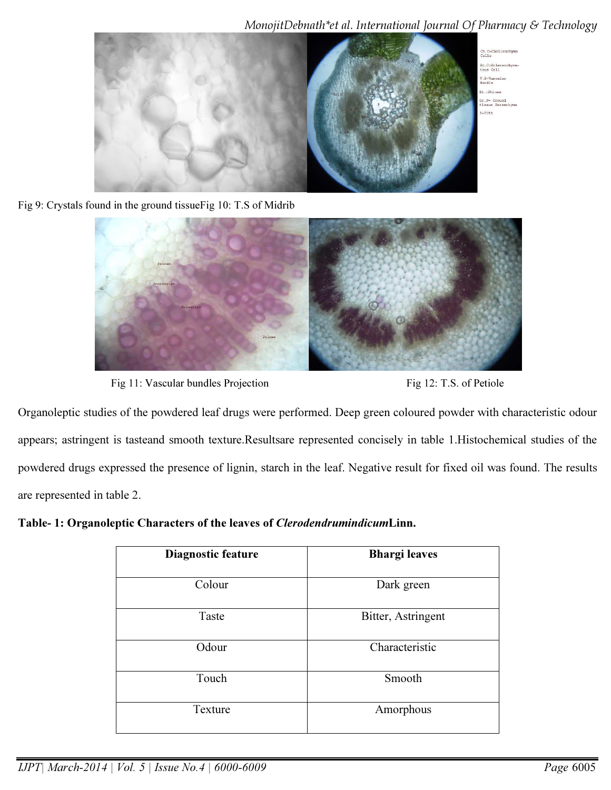

Fig 9: Crystals found in the ground tissueFig 10: T.S of Midrib



Fig 11: Vascular bundles Projection Fig 12: T.S. of Petiole

Organoleptic studies of the powdered leaf drugs were performed. Deep green coloured powder with characteristic odour appears; astringent is tasteand smooth texture.Resultsare represented concisely in table 1.Histochemical studies of the powdered drugs expressed the presence of lignin, starch in the leaf. Negative result for fixed oil was found. The results are represented in table 2.

Table- 1: Organoleptic Characters of the leaves of ClerodendrumindicumLinn.

| Diagnostic feature | <b>Bhargi leaves</b> |  |
|--------------------|----------------------|--|
| Colour             | Dark green           |  |
| Taste              | Bitter, Astringent   |  |
| Odour              | Characteristic       |  |
| Touch              | Smooth               |  |
| Texture            | Amorphous            |  |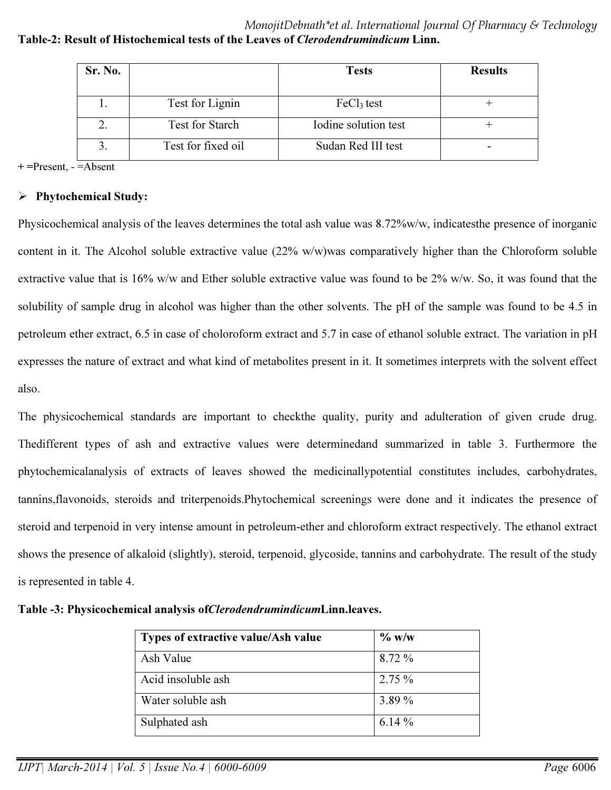MonojitDebnath\*et al. International Journal Of Pharmacy & Technology Table-2: Result of Histochemical tests of the Leaves of Clerodendrumindicum Linn.

| Sr. No. |                        | <b>Tests</b>           | <b>Results</b> |  |
|---------|------------------------|------------------------|----------------|--|
|         |                        |                        |                |  |
|         | Test for Lignin        | FeCl <sub>3</sub> test |                |  |
| ۷.      | <b>Test for Starch</b> | Iodine solution test   |                |  |
|         | Test for fixed oil     | Sudan Red III test     |                |  |

+ =Present, - =Absent

# $\triangleright$  Phytochemical Study:

Physicochemical analysis of the leaves determines the total ash value was 8.72%w/w, indicatesthe presence of inorganic content in it. The Alcohol soluble extractive value (22% w/w)was comparatively higher than the Chloroform soluble extractive value that is 16% w/w and Ether soluble extractive value was found to be 2% w/w. So, it was found that the solubility of sample drug in alcohol was higher than the other solvents. The pH of the sample was found to be 4.5 in petroleum ether extract, 6.5 in case of choloroform extract and 5.7 in case of ethanol soluble extract. The variation in pH expresses the nature of extract and what kind of metabolites present in it. It sometimes interprets with the solvent effect also.

The physicochemical standards are important to checkthe quality, purity and adulteration of given crude drug. Thedifferent types of ash and extractive values were determinedand summarized in table 3. Furthermore the phytochemicalanalysis of extracts of leaves showed the medicinallypotential constitutes includes, carbohydrates, tannins,flavonoids, steroids and triterpenoids.Phytochemical screenings were done and it indicates the presence of steroid and terpenoid in very intense amount in petroleum-ether and chloroform extract respectively. The ethanol extract shows the presence of alkaloid (slightly), steroid, terpenoid, glycoside, tannins and carbohydrate. The result of the study is represented in table 4.

| Types of extractive value/Ash value | $\%$ w/w  |
|-------------------------------------|-----------|
| Ash Value                           | 8.72 %    |
| Acid insoluble ash                  | $2.75\%$  |
| Water soluble ash                   | 3.89 %    |
| Sulphated ash                       | 6.14 $\%$ |

Table -3: Physicochemical analysis ofClerodendrumindicumLinn.leaves.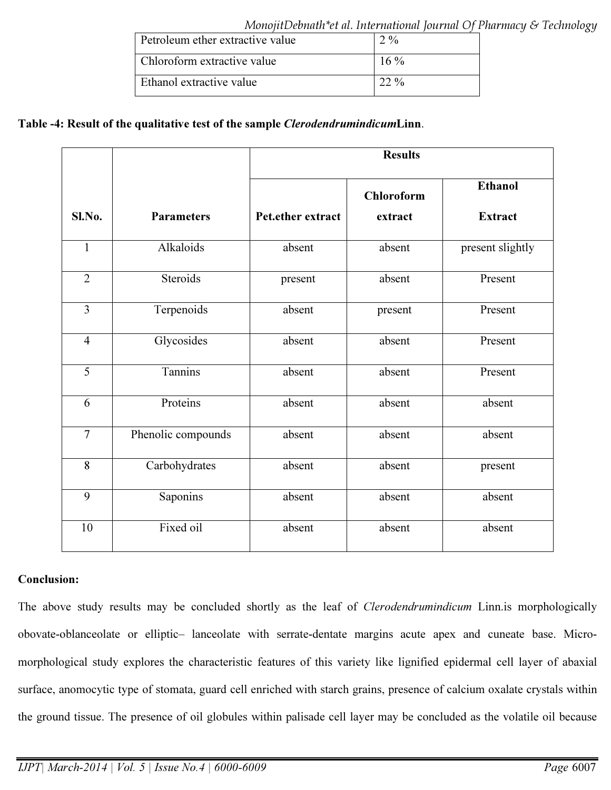| Petroleum ether extractive value | 2.9 <sub>0</sub> |  |  |
|----------------------------------|------------------|--|--|
| Chloroform extractive value      | $16\%$           |  |  |
| Ethanol extractive value         | $22\%$           |  |  |

# Table -4: Result of the qualitative test of the sample ClerodendrumindicumLinn.

|                |                    | <b>Results</b>    |                   |                  |
|----------------|--------------------|-------------------|-------------------|------------------|
|                |                    |                   | <b>Chloroform</b> | <b>Ethanol</b>   |
| Sl.No.         | <b>Parameters</b>  | Pet.ether extract | extract           | <b>Extract</b>   |
| $\mathbf{1}$   | Alkaloids          | absent            | absent            | present slightly |
| $\overline{2}$ | Steroids           | present           | absent            | Present          |
| $\overline{3}$ | Terpenoids         | absent            | present           | Present          |
| $\overline{4}$ | Glycosides         | absent            | absent            | Present          |
| 5              | Tannins            | absent            | absent            | Present          |
| 6              | Proteins           | absent            | absent            | absent           |
| $\overline{7}$ | Phenolic compounds | absent            | absent            | absent           |
| 8              | Carbohydrates      | absent            | absent            | present          |
| 9              | Saponins           | absent            | absent            | absent           |
| 10             | Fixed oil          | absent            | absent            | absent           |

## Conclusion:

The above study results may be concluded shortly as the leaf of *Clerodendrumindicum* Linn.is morphologically obovate-oblanceolate or elliptic– lanceolate with serrate-dentate margins acute apex and cuneate base. Micromorphological study explores the characteristic features of this variety like lignified epidermal cell layer of abaxial surface, anomocytic type of stomata, guard cell enriched with starch grains, presence of calcium oxalate crystals within the ground tissue. The presence of oil globules within palisade cell layer may be concluded as the volatile oil because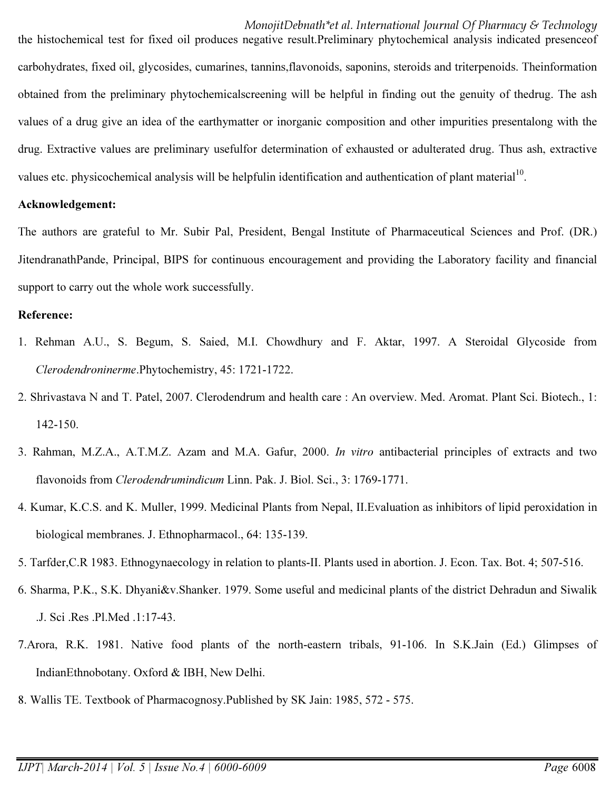the histochemical test for fixed oil produces negative result.Preliminary phytochemical analysis indicated presenceof carbohydrates, fixed oil, glycosides, cumarines, tannins,flavonoids, saponins, steroids and triterpenoids. Theinformation obtained from the preliminary phytochemicalscreening will be helpful in finding out the genuity of thedrug. The ash values of a drug give an idea of the earthymatter or inorganic composition and other impurities presentalong with the drug. Extractive values are preliminary usefulfor determination of exhausted or adulterated drug. Thus ash, extractive values etc. physicochemical analysis will be helpfulin identification and authentication of plant material $1<sup>10</sup>$ .

# Acknowledgement:

The authors are grateful to Mr. Subir Pal, President, Bengal Institute of Pharmaceutical Sciences and Prof. (DR.) JitendranathPande, Principal, BIPS for continuous encouragement and providing the Laboratory facility and financial support to carry out the whole work successfully.

#### Reference:

- 1. Rehman A.U., S. Begum, S. Saied, M.I. Chowdhury and F. Aktar, 1997. A Steroidal Glycoside from *Clerodendroninerme*.Phytochemistry, 45: 1721-1722.
- 2. Shrivastava N and T. Patel, 2007. Clerodendrum and health care : An overview. Med. Aromat. Plant Sci. Biotech., 1: 142-150.
- 3. Rahman, M.Z.A., A.T.M.Z. Azam and M.A. Gafur, 2000. *In vitro* antibacterial principles of extracts and two flavonoids from *Clerodendrumindicum* Linn. Pak. J. Biol. Sci., 3: 1769-1771.
- 4. Kumar, K.C.S. and K. Muller, 1999. Medicinal Plants from Nepal, II.Evaluation as inhibitors of lipid peroxidation in biological membranes. J. Ethnopharmacol., 64: 135-139.
- 5. Tarfder,C.R 1983. Ethnogynaecology in relation to plants-II. Plants used in abortion. J. Econ. Tax. Bot. 4; 507-516.
- 6. Sharma, P.K., S.K. Dhyani&v.Shanker. 1979. Some useful and medicinal plants of the district Dehradun and Siwalik .J. Sci .Res .Pl.Med .1:17-43.
- 7.Arora, R.K. 1981. Native food plants of the north-eastern tribals, 91-106. In S.K.Jain (Ed.) Glimpses of IndianEthnobotany. Oxford & IBH, New Delhi.
- 8. Wallis TE. Textbook of Pharmacognosy.Published by SK Jain: 1985, 572 575.